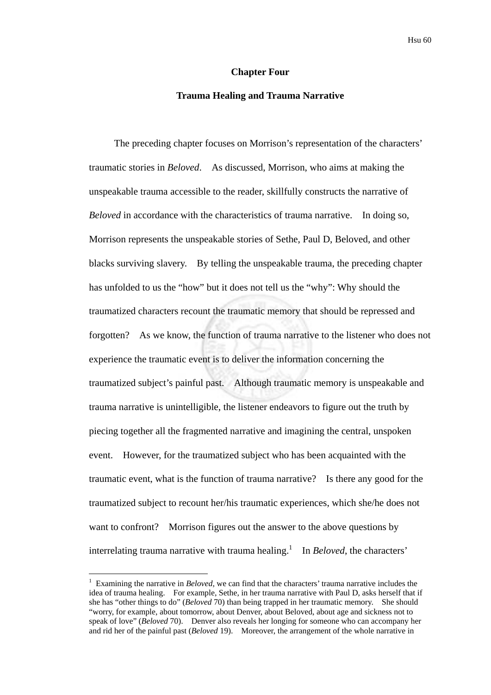#### **Chapter Four**

### **Trauma Healing and Trauma Narrative**

The preceding chapter focuses on Morrison's representation of the characters' traumatic stories in *Beloved*. As discussed, Morrison, who aims at making the unspeakable trauma accessible to the reader, skillfully constructs the narrative of *Beloved* in accordance with the characteristics of trauma narrative. In doing so, Morrison represents the unspeakable stories of Sethe, Paul D, Beloved, and other blacks surviving slavery. By telling the unspeakable trauma, the preceding chapter has unfolded to us the "how" but it does not tell us the "why": Why should the traumatized characters recount the traumatic memory that should be repressed and forgotten? As we know, the function of trauma narrative to the listener who does not experience the traumatic event is to deliver the information concerning the traumatized subject's painful past. Although traumatic memory is unspeakable and trauma narrative is unintelligible, the listener endeavors to figure out the truth by piecing together all the fragmented narrative and imagining the central, unspoken event. However, for the traumatized subject who has been acquainted with the traumatic event, what is the function of trauma narrative? Is there any good for the traumatized subject to recount her/his traumatic experiences, which she/he does not want to confront? Morrison figures out the answer to the above questions by interrelating trauma narrative with trauma healing.<sup>1</sup> In *Beloved*, the characters'

1

<sup>1</sup> Examining the narrative in *Beloved*, we can find that the characters' trauma narrative includes the idea of trauma healing. For example, Sethe, in her trauma narrative with Paul D, asks herself that if she has "other things to do" (*Beloved* 70) than being trapped in her traumatic memory. She should "worry, for example, about tomorrow, about Denver, about Beloved, about age and sickness not to speak of love" (*Beloved* 70). Denver also reveals her longing for someone who can accompany her and rid her of the painful past (*Beloved* 19). Moreover, the arrangement of the whole narrative in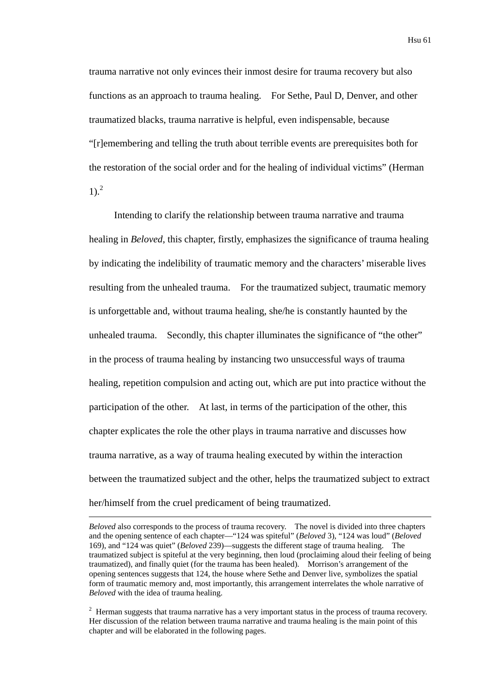trauma narrative not only evinces their inmost desire for trauma recovery but also functions as an approach to trauma healing. For Sethe, Paul D, Denver, and other traumatized blacks, trauma narrative is helpful, even indispensable, because "[r]emembering and telling the truth about terrible events are prerequisites both for the restoration of the social order and for the healing of individual victims" (Herman  $1)$ .<sup>2</sup>

Intending to clarify the relationship between trauma narrative and trauma healing in *Beloved*, this chapter, firstly, emphasizes the significance of trauma healing by indicating the indelibility of traumatic memory and the characters' miserable lives resulting from the unhealed trauma. For the traumatized subject, traumatic memory is unforgettable and, without trauma healing, she/he is constantly haunted by the unhealed trauma. Secondly, this chapter illuminates the significance of "the other" in the process of trauma healing by instancing two unsuccessful ways of trauma healing, repetition compulsion and acting out, which are put into practice without the participation of the other. At last, in terms of the participation of the other, this chapter explicates the role the other plays in trauma narrative and discusses how trauma narrative, as a way of trauma healing executed by within the interaction between the traumatized subject and the other, helps the traumatized subject to extract her/himself from the cruel predicament of being traumatized.

*Beloved* also corresponds to the process of trauma recovery. The novel is divided into three chapters and the opening sentence of each chapter—"124 was spiteful" (*Beloved* 3), "124 was loud" (*Beloved* 169), and "124 was quiet" (*Beloved* 239)—suggests the different stage of trauma healing. The traumatized subject is spiteful at the very beginning, then loud (proclaiming aloud their feeling of being traumatized), and finally quiet (for the trauma has been healed). Morrison's arrangement of the opening sentences suggests that 124, the house where Sethe and Denver live, symbolizes the spatial form of traumatic memory and, most importantly, this arrangement interrelates the whole narrative of *Beloved* with the idea of trauma healing.

1

 $2$  Herman suggests that trauma narrative has a very important status in the process of trauma recovery. Her discussion of the relation between trauma narrative and trauma healing is the main point of this chapter and will be elaborated in the following pages.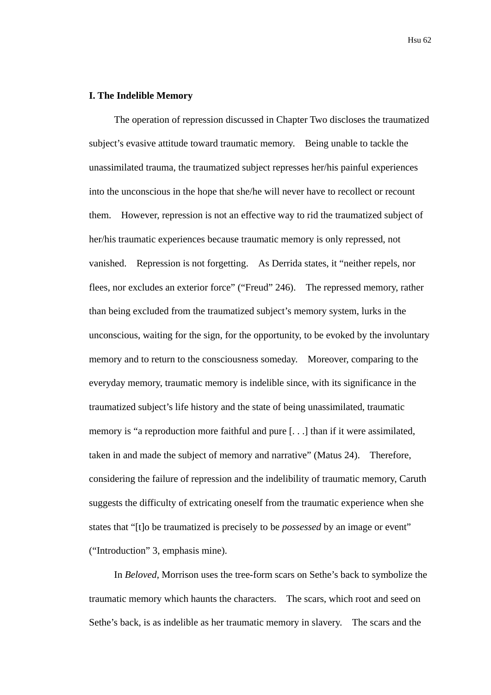### **I. The Indelible Memory**

The operation of repression discussed in Chapter Two discloses the traumatized subject's evasive attitude toward traumatic memory. Being unable to tackle the unassimilated trauma, the traumatized subject represses her/his painful experiences into the unconscious in the hope that she/he will never have to recollect or recount them. However, repression is not an effective way to rid the traumatized subject of her/his traumatic experiences because traumatic memory is only repressed, not vanished. Repression is not forgetting. As Derrida states, it "neither repels, nor flees, nor excludes an exterior force" ("Freud" 246). The repressed memory, rather than being excluded from the traumatized subject's memory system, lurks in the unconscious, waiting for the sign, for the opportunity, to be evoked by the involuntary memory and to return to the consciousness someday. Moreover, comparing to the everyday memory, traumatic memory is indelible since, with its significance in the traumatized subject's life history and the state of being unassimilated, traumatic memory is "a reproduction more faithful and pure [. . .] than if it were assimilated, taken in and made the subject of memory and narrative" (Matus 24). Therefore, considering the failure of repression and the indelibility of traumatic memory, Caruth suggests the difficulty of extricating oneself from the traumatic experience when she states that "[t]o be traumatized is precisely to be *possessed* by an image or event" ("Introduction" 3, emphasis mine).

In *Beloved*, Morrison uses the tree-form scars on Sethe's back to symbolize the traumatic memory which haunts the characters. The scars, which root and seed on Sethe's back, is as indelible as her traumatic memory in slavery. The scars and the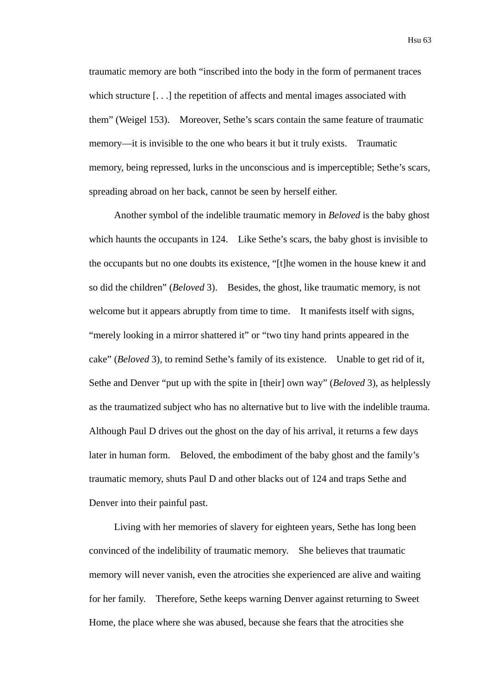traumatic memory are both "inscribed into the body in the form of permanent traces which structure [...] the repetition of affects and mental images associated with them" (Weigel 153). Moreover, Sethe's scars contain the same feature of traumatic memory—it is invisible to the one who bears it but it truly exists. Traumatic memory, being repressed, lurks in the unconscious and is imperceptible; Sethe's scars, spreading abroad on her back, cannot be seen by herself either.

Another symbol of the indelible traumatic memory in *Beloved* is the baby ghost which haunts the occupants in 124. Like Sethe's scars, the baby ghost is invisible to the occupants but no one doubts its existence, "[t]he women in the house knew it and so did the children" (*Beloved* 3). Besides, the ghost, like traumatic memory, is not welcome but it appears abruptly from time to time. It manifests itself with signs, "merely looking in a mirror shattered it" or "two tiny hand prints appeared in the cake" (*Beloved* 3), to remind Sethe's family of its existence. Unable to get rid of it, Sethe and Denver "put up with the spite in [their] own way" (*Beloved* 3), as helplessly as the traumatized subject who has no alternative but to live with the indelible trauma. Although Paul D drives out the ghost on the day of his arrival, it returns a few days later in human form. Beloved, the embodiment of the baby ghost and the family's traumatic memory, shuts Paul D and other blacks out of 124 and traps Sethe and Denver into their painful past.

Living with her memories of slavery for eighteen years, Sethe has long been convinced of the indelibility of traumatic memory. She believes that traumatic memory will never vanish, even the atrocities she experienced are alive and waiting for her family. Therefore, Sethe keeps warning Denver against returning to Sweet Home, the place where she was abused, because she fears that the atrocities she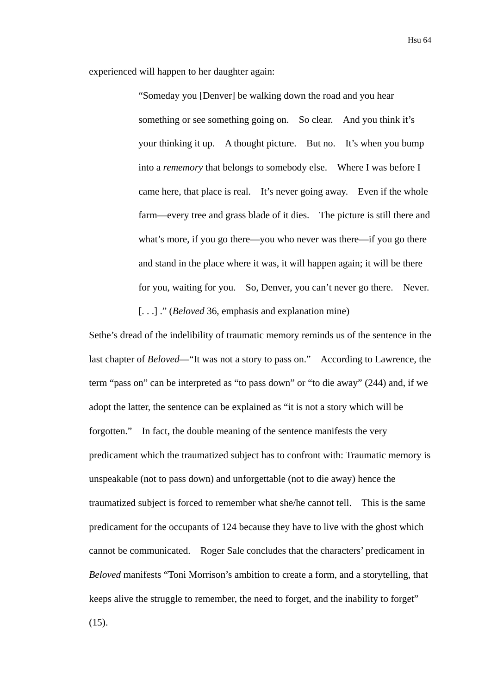experienced will happen to her daughter again:

"Someday you [Denver] be walking down the road and you hear something or see something going on. So clear. And you think it's your thinking it up. A thought picture. But no. It's when you bump into a *rememory* that belongs to somebody else. Where I was before I came here, that place is real. It's never going away. Even if the whole farm—every tree and grass blade of it dies. The picture is still there and what's more, if you go there—you who never was there—if you go there and stand in the place where it was, it will happen again; it will be there for you, waiting for you. So, Denver, you can't never go there. Never. [. . .] ." (*Beloved* 36, emphasis and explanation mine)

Sethe's dread of the indelibility of traumatic memory reminds us of the sentence in the last chapter of *Beloved*—"It was not a story to pass on." According to Lawrence, the term "pass on" can be interpreted as "to pass down" or "to die away" (244) and, if we adopt the latter, the sentence can be explained as "it is not a story which will be forgotten." In fact, the double meaning of the sentence manifests the very predicament which the traumatized subject has to confront with: Traumatic memory is unspeakable (not to pass down) and unforgettable (not to die away) hence the traumatized subject is forced to remember what she/he cannot tell. This is the same predicament for the occupants of 124 because they have to live with the ghost which cannot be communicated. Roger Sale concludes that the characters' predicament in *Beloved* manifests "Toni Morrison's ambition to create a form, and a storytelling, that keeps alive the struggle to remember, the need to forget, and the inability to forget"  $(15)$ .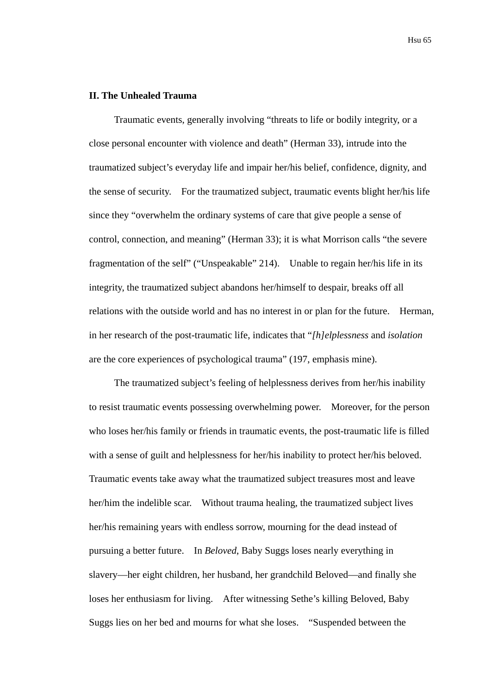# **II. The Unhealed Trauma**

Traumatic events, generally involving "threats to life or bodily integrity, or a close personal encounter with violence and death" (Herman 33), intrude into the traumatized subject's everyday life and impair her/his belief, confidence, dignity, and the sense of security. For the traumatized subject, traumatic events blight her/his life since they "overwhelm the ordinary systems of care that give people a sense of control, connection, and meaning" (Herman 33); it is what Morrison calls "the severe fragmentation of the self" ("Unspeakable" 214). Unable to regain her/his life in its integrity, the traumatized subject abandons her/himself to despair, breaks off all relations with the outside world and has no interest in or plan for the future. Herman, in her research of the post-traumatic life, indicates that "*[h]elplessness* and *isolation* are the core experiences of psychological trauma" (197, emphasis mine).

The traumatized subject's feeling of helplessness derives from her/his inability to resist traumatic events possessing overwhelming power. Moreover, for the person who loses her/his family or friends in traumatic events, the post-traumatic life is filled with a sense of guilt and helplessness for her/his inability to protect her/his beloved. Traumatic events take away what the traumatized subject treasures most and leave her/him the indelible scar. Without trauma healing, the traumatized subject lives her/his remaining years with endless sorrow, mourning for the dead instead of pursuing a better future. In *Beloved*, Baby Suggs loses nearly everything in slavery—her eight children, her husband, her grandchild Beloved—and finally she loses her enthusiasm for living. After witnessing Sethe's killing Beloved, Baby Suggs lies on her bed and mourns for what she loses. "Suspended between the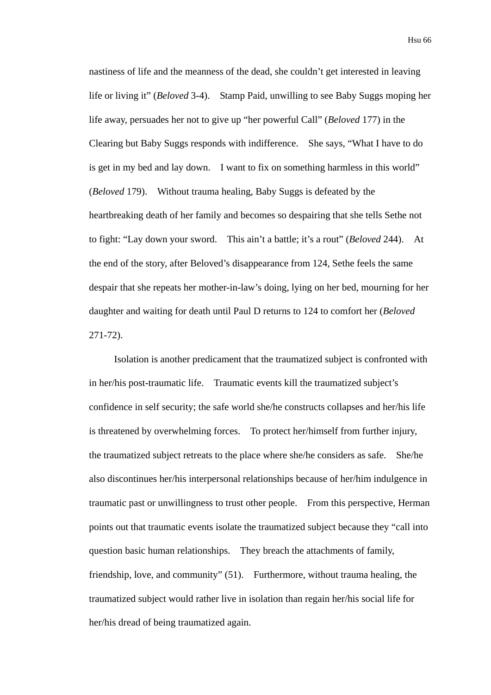nastiness of life and the meanness of the dead, she couldn't get interested in leaving life or living it" (*Beloved* 3-4). Stamp Paid, unwilling to see Baby Suggs moping her life away, persuades her not to give up "her powerful Call" (*Beloved* 177) in the Clearing but Baby Suggs responds with indifference. She says, "What I have to do is get in my bed and lay down. I want to fix on something harmless in this world" (*Beloved* 179). Without trauma healing, Baby Suggs is defeated by the heartbreaking death of her family and becomes so despairing that she tells Sethe not to fight: "Lay down your sword. This ain't a battle; it's a rout" (*Beloved* 244). At the end of the story, after Beloved's disappearance from 124, Sethe feels the same despair that she repeats her mother-in-law's doing, lying on her bed, mourning for her daughter and waiting for death until Paul D returns to 124 to comfort her (*Beloved* 271-72).

Isolation is another predicament that the traumatized subject is confronted with in her/his post-traumatic life. Traumatic events kill the traumatized subject's confidence in self security; the safe world she/he constructs collapses and her/his life is threatened by overwhelming forces. To protect her/himself from further injury, the traumatized subject retreats to the place where she/he considers as safe. She/he also discontinues her/his interpersonal relationships because of her/him indulgence in traumatic past or unwillingness to trust other people. From this perspective, Herman points out that traumatic events isolate the traumatized subject because they "call into question basic human relationships. They breach the attachments of family, friendship, love, and community" (51). Furthermore, without trauma healing, the traumatized subject would rather live in isolation than regain her/his social life for her/his dread of being traumatized again.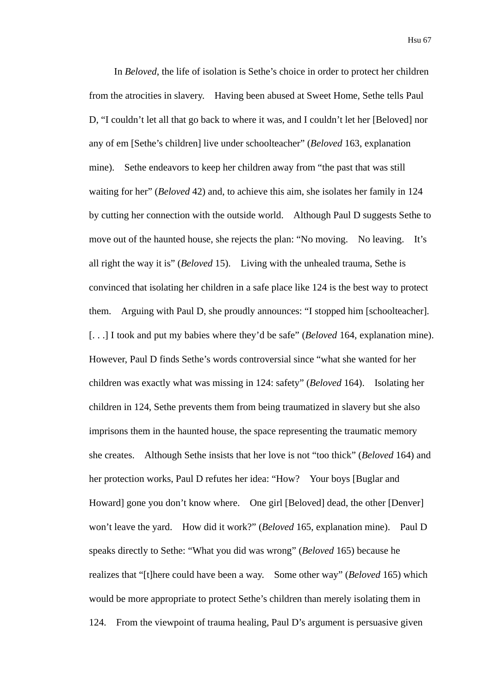In *Beloved*, the life of isolation is Sethe's choice in order to protect her children from the atrocities in slavery. Having been abused at Sweet Home, Sethe tells Paul D, "I couldn't let all that go back to where it was, and I couldn't let her [Beloved] nor any of em [Sethe's children] live under schoolteacher" (*Beloved* 163, explanation mine). Sethe endeavors to keep her children away from "the past that was still waiting for her" (*Beloved* 42) and, to achieve this aim, she isolates her family in 124 by cutting her connection with the outside world. Although Paul D suggests Sethe to move out of the haunted house, she rejects the plan: "No moving. No leaving. It's all right the way it is" (*Beloved* 15). Living with the unhealed trauma, Sethe is convinced that isolating her children in a safe place like 124 is the best way to protect them. Arguing with Paul D, she proudly announces: "I stopped him [schoolteacher]. [. . .] I took and put my babies where they'd be safe" (*Beloved* 164, explanation mine). However, Paul D finds Sethe's words controversial since "what she wanted for her children was exactly what was missing in 124: safety" (*Beloved* 164). Isolating her children in 124, Sethe prevents them from being traumatized in slavery but she also imprisons them in the haunted house, the space representing the traumatic memory she creates. Although Sethe insists that her love is not "too thick" (*Beloved* 164) and her protection works, Paul D refutes her idea: "How? Your boys [Buglar and Howard] gone you don't know where. One girl [Beloved] dead, the other [Denver] won't leave the yard. How did it work?" (*Beloved* 165, explanation mine). Paul D speaks directly to Sethe: "What you did was wrong" (*Beloved* 165) because he realizes that "[t]here could have been a way. Some other way" (*Beloved* 165) which would be more appropriate to protect Sethe's children than merely isolating them in 124. From the viewpoint of trauma healing, Paul D's argument is persuasive given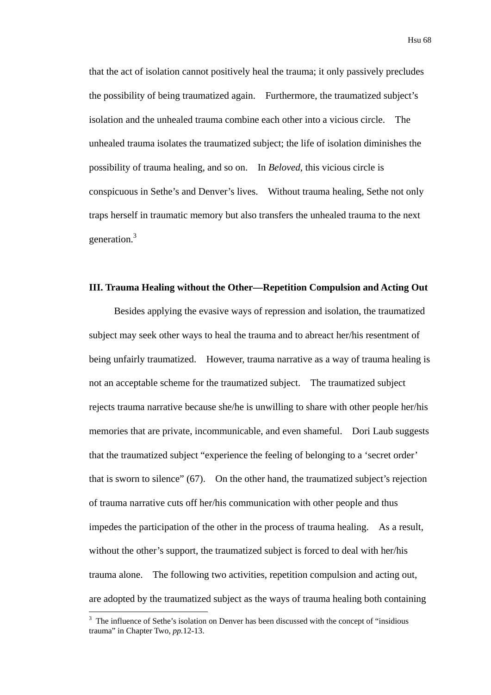that the act of isolation cannot positively heal the trauma; it only passively precludes the possibility of being traumatized again. Furthermore, the traumatized subject's isolation and the unhealed trauma combine each other into a vicious circle. The unhealed trauma isolates the traumatized subject; the life of isolation diminishes the possibility of trauma healing, and so on. In *Beloved*, this vicious circle is conspicuous in Sethe's and Denver's lives. Without trauma healing, Sethe not only traps herself in traumatic memory but also transfers the unhealed trauma to the next generation.<sup>3</sup>

## **III. Trauma Healing without the Other—Repetition Compulsion and Acting Out**

Besides applying the evasive ways of repression and isolation, the traumatized subject may seek other ways to heal the trauma and to abreact her/his resentment of being unfairly traumatized. However, trauma narrative as a way of trauma healing is not an acceptable scheme for the traumatized subject. The traumatized subject rejects trauma narrative because she/he is unwilling to share with other people her/his memories that are private, incommunicable, and even shameful. Dori Laub suggests that the traumatized subject "experience the feeling of belonging to a 'secret order' that is sworn to silence" (67). On the other hand, the traumatized subject's rejection of trauma narrative cuts off her/his communication with other people and thus impedes the participation of the other in the process of trauma healing. As a result, without the other's support, the traumatized subject is forced to deal with her/his trauma alone. The following two activities, repetition compulsion and acting out, are adopted by the traumatized subject as the ways of trauma healing both containing

<u>.</u>

<sup>&</sup>lt;sup>3</sup> The influence of Sethe's isolation on Denver has been discussed with the concept of "insidious" trauma" in Chapter Two, *pp.*12-13.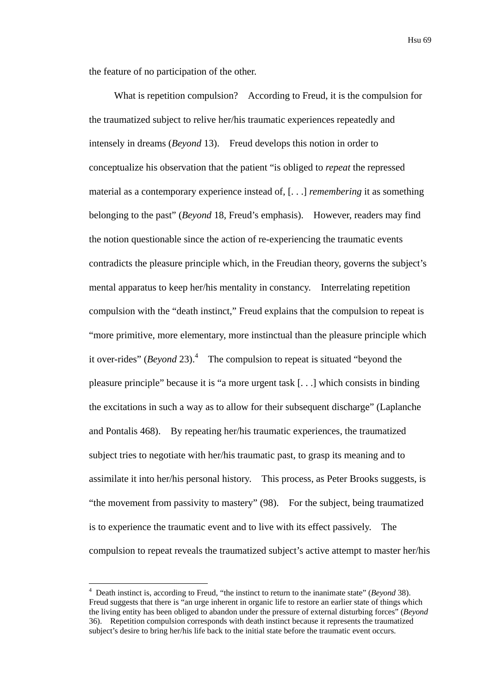the feature of no participation of the other.

What is repetition compulsion? According to Freud, it is the compulsion for the traumatized subject to relive her/his traumatic experiences repeatedly and intensely in dreams (*Beyond* 13). Freud develops this notion in order to conceptualize his observation that the patient "is obliged to *repeat* the repressed material as a contemporary experience instead of, [. . .] *remembering* it as something belonging to the past" (*Beyond* 18, Freud's emphasis). However, readers may find the notion questionable since the action of re-experiencing the traumatic events contradicts the pleasure principle which, in the Freudian theory, governs the subject's mental apparatus to keep her/his mentality in constancy. Interrelating repetition compulsion with the "death instinct," Freud explains that the compulsion to repeat is "more primitive, more elementary, more instinctual than the pleasure principle which it over-rides"  $(Beyond 23)$ .<sup>4</sup> The compulsion to repeat is situated "beyond the pleasure principle" because it is "a more urgent task [. . .] which consists in binding the excitations in such a way as to allow for their subsequent discharge" (Laplanche and Pontalis 468). By repeating her/his traumatic experiences, the traumatized subject tries to negotiate with her/his traumatic past, to grasp its meaning and to assimilate it into her/his personal history. This process, as Peter Brooks suggests, is "the movement from passivity to mastery" (98). For the subject, being traumatized is to experience the traumatic event and to live with its effect passively. The compulsion to repeat reveals the traumatized subject's active attempt to master her/his

<u>.</u>

<sup>4</sup> Death instinct is, according to Freud, "the instinct to return to the inanimate state" (*Beyond* 38). Freud suggests that there is "an urge inherent in organic life to restore an earlier state of things which the living entity has been obliged to abandon under the pressure of external disturbing forces" (*Beyond* 36). Repetition compulsion corresponds with death instinct because it represents the traumatized subject's desire to bring her/his life back to the initial state before the traumatic event occurs.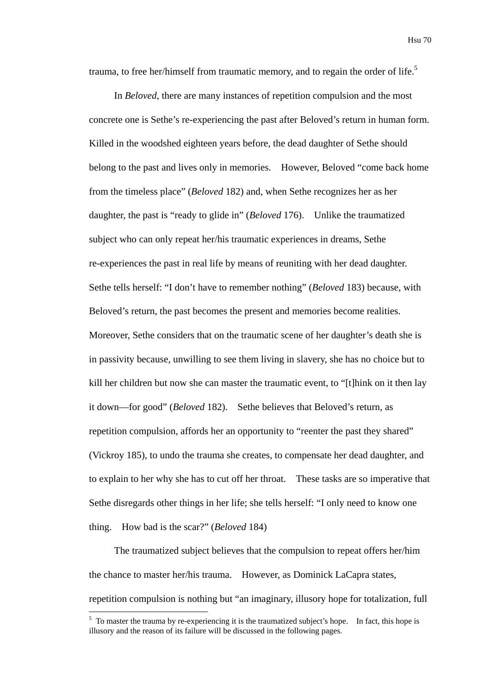trauma, to free her/himself from traumatic memory, and to regain the order of life.<sup>5</sup>

In *Beloved*, there are many instances of repetition compulsion and the most concrete one is Sethe's re-experiencing the past after Beloved's return in human form. Killed in the woodshed eighteen years before, the dead daughter of Sethe should belong to the past and lives only in memories. However, Beloved "come back home from the timeless place" (*Beloved* 182) and, when Sethe recognizes her as her daughter, the past is "ready to glide in" (*Beloved* 176). Unlike the traumatized subject who can only repeat her/his traumatic experiences in dreams, Sethe re-experiences the past in real life by means of reuniting with her dead daughter. Sethe tells herself: "I don't have to remember nothing" (*Beloved* 183) because, with Beloved's return, the past becomes the present and memories become realities. Moreover, Sethe considers that on the traumatic scene of her daughter's death she is in passivity because, unwilling to see them living in slavery, she has no choice but to kill her children but now she can master the traumatic event, to "[t]hink on it then lay it down—for good" (*Beloved* 182). Sethe believes that Beloved's return, as repetition compulsion, affords her an opportunity to "reenter the past they shared" (Vickroy 185), to undo the trauma she creates, to compensate her dead daughter, and to explain to her why she has to cut off her throat. These tasks are so imperative that Sethe disregards other things in her life; she tells herself: "I only need to know one thing. How bad is the scar?" (*Beloved* 184)

The traumatized subject believes that the compulsion to repeat offers her/him the chance to master her/his trauma. However, as Dominick LaCapra states, repetition compulsion is nothing but "an imaginary, illusory hope for totalization, full

<u>.</u>

 $<sup>5</sup>$  To master the trauma by re-experiencing it is the traumatized subject's hope. In fact, this hope is</sup> illusory and the reason of its failure will be discussed in the following pages.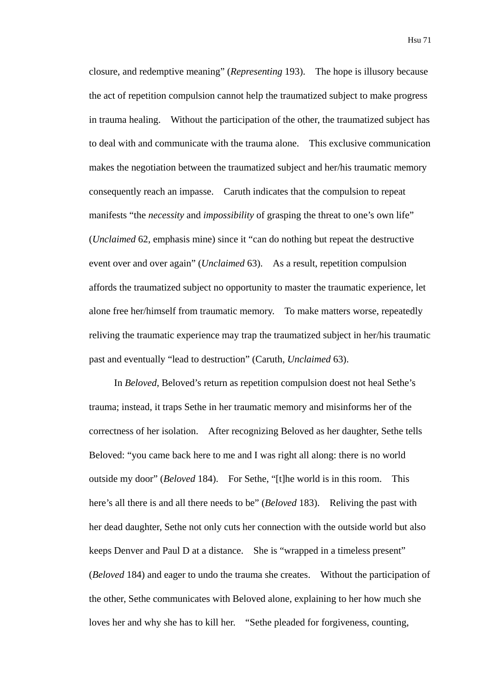closure, and redemptive meaning" (*Representing* 193). The hope is illusory because the act of repetition compulsion cannot help the traumatized subject to make progress in trauma healing. Without the participation of the other, the traumatized subject has to deal with and communicate with the trauma alone. This exclusive communication makes the negotiation between the traumatized subject and her/his traumatic memory consequently reach an impasse. Caruth indicates that the compulsion to repeat manifests "the *necessity* and *impossibility* of grasping the threat to one's own life" (*Unclaimed* 62, emphasis mine) since it "can do nothing but repeat the destructive event over and over again" (*Unclaimed* 63). As a result, repetition compulsion affords the traumatized subject no opportunity to master the traumatic experience, let alone free her/himself from traumatic memory. To make matters worse, repeatedly reliving the traumatic experience may trap the traumatized subject in her/his traumatic past and eventually "lead to destruction" (Caruth, *Unclaimed* 63).

In *Beloved*, Beloved's return as repetition compulsion doest not heal Sethe's trauma; instead, it traps Sethe in her traumatic memory and misinforms her of the correctness of her isolation. After recognizing Beloved as her daughter, Sethe tells Beloved: "you came back here to me and I was right all along: there is no world outside my door" (*Beloved* 184). For Sethe, "[t]he world is in this room. This here's all there is and all there needs to be" (*Beloved* 183). Reliving the past with her dead daughter, Sethe not only cuts her connection with the outside world but also keeps Denver and Paul D at a distance. She is "wrapped in a timeless present" (*Beloved* 184) and eager to undo the trauma she creates. Without the participation of the other, Sethe communicates with Beloved alone, explaining to her how much she loves her and why she has to kill her. "Sethe pleaded for forgiveness, counting,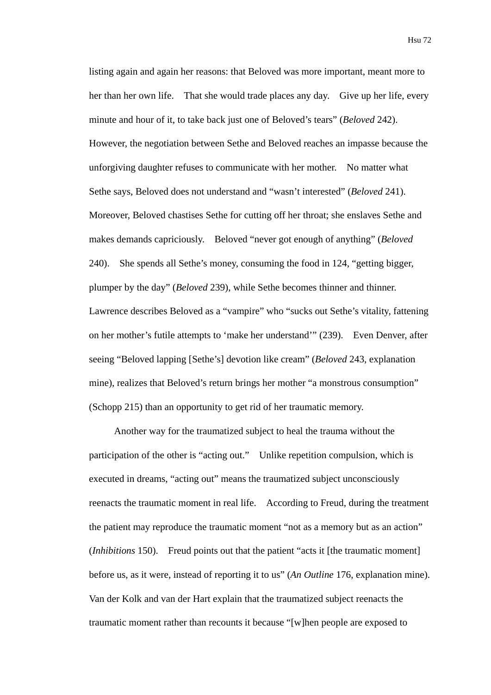listing again and again her reasons: that Beloved was more important, meant more to her than her own life. That she would trade places any day. Give up her life, every minute and hour of it, to take back just one of Beloved's tears" (*Beloved* 242). However, the negotiation between Sethe and Beloved reaches an impasse because the unforgiving daughter refuses to communicate with her mother. No matter what Sethe says, Beloved does not understand and "wasn't interested" (*Beloved* 241). Moreover, Beloved chastises Sethe for cutting off her throat; she enslaves Sethe and makes demands capriciously. Beloved "never got enough of anything" (*Beloved* 240). She spends all Sethe's money, consuming the food in 124, "getting bigger, plumper by the day" (*Beloved* 239), while Sethe becomes thinner and thinner. Lawrence describes Beloved as a "vampire" who "sucks out Sethe's vitality, fattening on her mother's futile attempts to 'make her understand'" (239). Even Denver, after seeing "Beloved lapping [Sethe's] devotion like cream" (*Beloved* 243, explanation mine), realizes that Beloved's return brings her mother "a monstrous consumption" (Schopp 215) than an opportunity to get rid of her traumatic memory.

Another way for the traumatized subject to heal the trauma without the participation of the other is "acting out." Unlike repetition compulsion, which is executed in dreams, "acting out" means the traumatized subject unconsciously reenacts the traumatic moment in real life. According to Freud, during the treatment the patient may reproduce the traumatic moment "not as a memory but as an action" (*Inhibitions* 150). Freud points out that the patient "acts it [the traumatic moment] before us, as it were, instead of reporting it to us" (*An Outline* 176, explanation mine). Van der Kolk and van der Hart explain that the traumatized subject reenacts the traumatic moment rather than recounts it because "[w]hen people are exposed to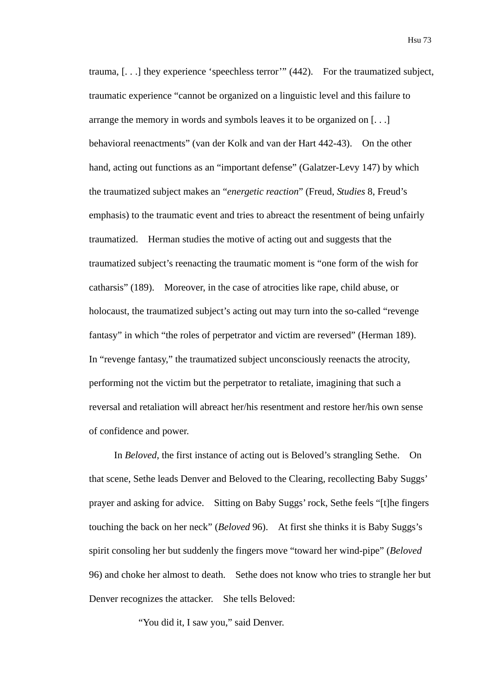trauma, [. . .] they experience 'speechless terror'" (442). For the traumatized subject, traumatic experience "cannot be organized on a linguistic level and this failure to arrange the memory in words and symbols leaves it to be organized on [. . .] behavioral reenactments" (van der Kolk and van der Hart 442-43). On the other hand, acting out functions as an "important defense" (Galatzer-Levy 147) by which the traumatized subject makes an "*energetic reaction*" (Freud, *Studies* 8, Freud's emphasis) to the traumatic event and tries to abreact the resentment of being unfairly traumatized. Herman studies the motive of acting out and suggests that the traumatized subject's reenacting the traumatic moment is "one form of the wish for catharsis" (189). Moreover, in the case of atrocities like rape, child abuse, or holocaust, the traumatized subject's acting out may turn into the so-called "revenge fantasy" in which "the roles of perpetrator and victim are reversed" (Herman 189). In "revenge fantasy," the traumatized subject unconsciously reenacts the atrocity, performing not the victim but the perpetrator to retaliate, imagining that such a reversal and retaliation will abreact her/his resentment and restore her/his own sense of confidence and power.

In *Beloved*, the first instance of acting out is Beloved's strangling Sethe. On that scene, Sethe leads Denver and Beloved to the Clearing, recollecting Baby Suggs' prayer and asking for advice. Sitting on Baby Suggs' rock, Sethe feels "[t]he fingers touching the back on her neck" (*Beloved* 96). At first she thinks it is Baby Suggs's spirit consoling her but suddenly the fingers move "toward her wind-pipe" (*Beloved* 96) and choke her almost to death. Sethe does not know who tries to strangle her but Denver recognizes the attacker. She tells Beloved:

"You did it, I saw you," said Denver.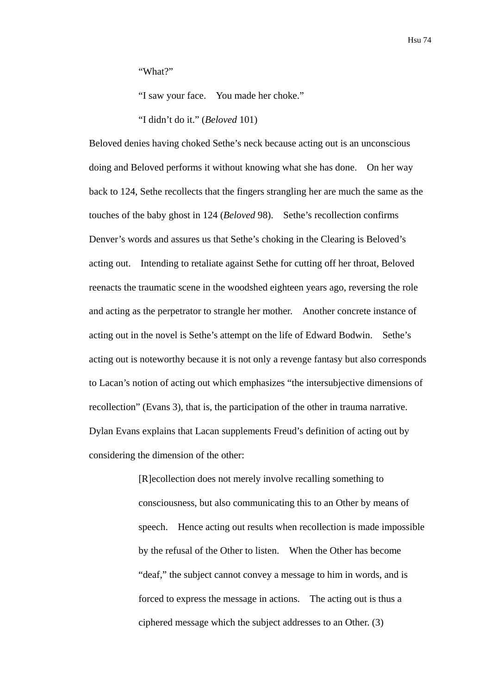"What?"

"I saw your face. You made her choke."

"I didn't do it." (*Beloved* 101)

Beloved denies having choked Sethe's neck because acting out is an unconscious doing and Beloved performs it without knowing what she has done. On her way back to 124, Sethe recollects that the fingers strangling her are much the same as the touches of the baby ghost in 124 (*Beloved* 98). Sethe's recollection confirms Denver's words and assures us that Sethe's choking in the Clearing is Beloved's acting out. Intending to retaliate against Sethe for cutting off her throat, Beloved reenacts the traumatic scene in the woodshed eighteen years ago, reversing the role and acting as the perpetrator to strangle her mother. Another concrete instance of acting out in the novel is Sethe's attempt on the life of Edward Bodwin. Sethe's acting out is noteworthy because it is not only a revenge fantasy but also corresponds to Lacan's notion of acting out which emphasizes "the intersubjective dimensions of recollection" (Evans 3), that is, the participation of the other in trauma narrative. Dylan Evans explains that Lacan supplements Freud's definition of acting out by considering the dimension of the other:

> [R]ecollection does not merely involve recalling something to consciousness, but also communicating this to an Other by means of speech. Hence acting out results when recollection is made impossible by the refusal of the Other to listen. When the Other has become "deaf," the subject cannot convey a message to him in words, and is forced to express the message in actions. The acting out is thus a ciphered message which the subject addresses to an Other. (3)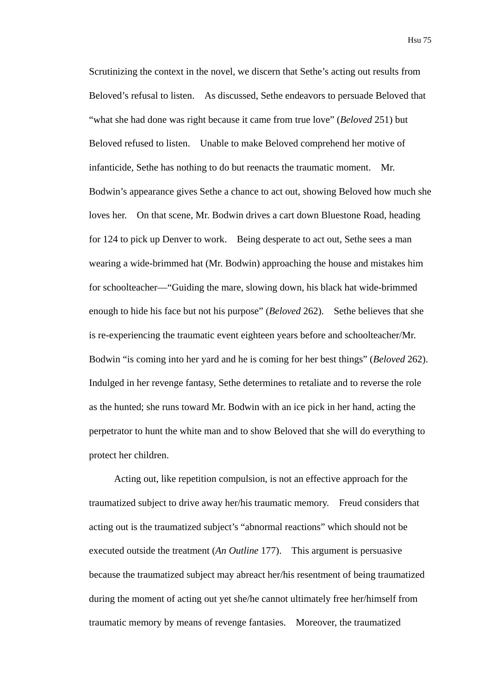Scrutinizing the context in the novel, we discern that Sethe's acting out results from Beloved's refusal to listen. As discussed, Sethe endeavors to persuade Beloved that "what she had done was right because it came from true love" (*Beloved* 251) but Beloved refused to listen. Unable to make Beloved comprehend her motive of infanticide, Sethe has nothing to do but reenacts the traumatic moment. Mr. Bodwin's appearance gives Sethe a chance to act out, showing Beloved how much she loves her. On that scene, Mr. Bodwin drives a cart down Bluestone Road, heading for 124 to pick up Denver to work. Being desperate to act out, Sethe sees a man wearing a wide-brimmed hat (Mr. Bodwin) approaching the house and mistakes him for schoolteacher—"Guiding the mare, slowing down, his black hat wide-brimmed enough to hide his face but not his purpose" (*Beloved* 262). Sethe believes that she is re-experiencing the traumatic event eighteen years before and schoolteacher/Mr. Bodwin "is coming into her yard and he is coming for her best things" (*Beloved* 262). Indulged in her revenge fantasy, Sethe determines to retaliate and to reverse the role as the hunted; she runs toward Mr. Bodwin with an ice pick in her hand, acting the perpetrator to hunt the white man and to show Beloved that she will do everything to protect her children.

Acting out, like repetition compulsion, is not an effective approach for the traumatized subject to drive away her/his traumatic memory. Freud considers that acting out is the traumatized subject's "abnormal reactions" which should not be executed outside the treatment (*An Outline* 177). This argument is persuasive because the traumatized subject may abreact her/his resentment of being traumatized during the moment of acting out yet she/he cannot ultimately free her/himself from traumatic memory by means of revenge fantasies. Moreover, the traumatized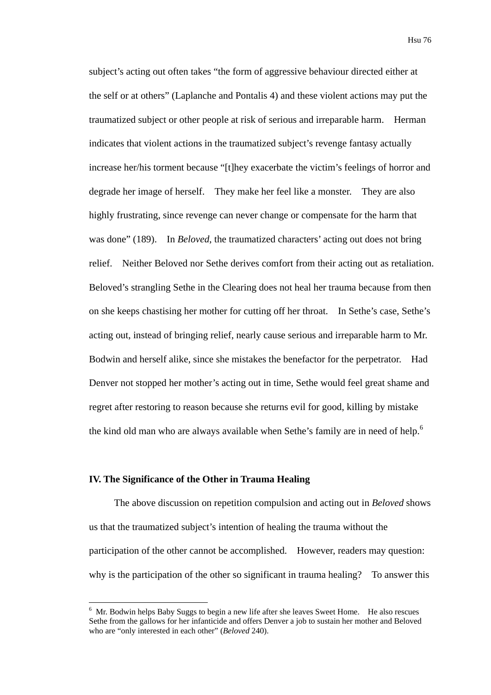subject's acting out often takes "the form of aggressive behaviour directed either at the self or at others" (Laplanche and Pontalis 4) and these violent actions may put the traumatized subject or other people at risk of serious and irreparable harm. Herman indicates that violent actions in the traumatized subject's revenge fantasy actually increase her/his torment because "[t]hey exacerbate the victim's feelings of horror and degrade her image of herself. They make her feel like a monster. They are also highly frustrating, since revenge can never change or compensate for the harm that was done" (189). In *Beloved*, the traumatized characters' acting out does not bring relief. Neither Beloved nor Sethe derives comfort from their acting out as retaliation. Beloved's strangling Sethe in the Clearing does not heal her trauma because from then on she keeps chastising her mother for cutting off her throat. In Sethe's case, Sethe's acting out, instead of bringing relief, nearly cause serious and irreparable harm to Mr. Bodwin and herself alike, since she mistakes the benefactor for the perpetrator. Had Denver not stopped her mother's acting out in time, Sethe would feel great shame and regret after restoring to reason because she returns evil for good, killing by mistake the kind old man who are always available when Sethe's family are in need of help.<sup>6</sup>

#### **IV. The Significance of the Other in Trauma Healing**

1

The above discussion on repetition compulsion and acting out in *Beloved* shows us that the traumatized subject's intention of healing the trauma without the participation of the other cannot be accomplished. However, readers may question: why is the participation of the other so significant in trauma healing? To answer this

 $6$  Mr. Bodwin helps Baby Suggs to begin a new life after she leaves Sweet Home. He also rescues Sethe from the gallows for her infanticide and offers Denver a job to sustain her mother and Beloved who are "only interested in each other" (*Beloved* 240).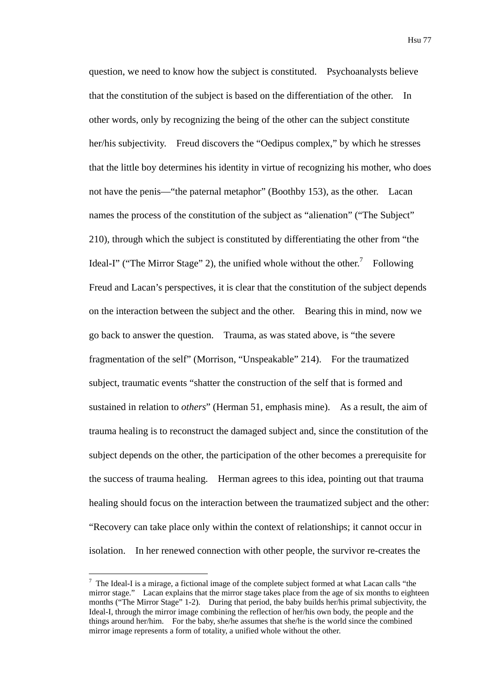question, we need to know how the subject is constituted. Psychoanalysts believe that the constitution of the subject is based on the differentiation of the other. In other words, only by recognizing the being of the other can the subject constitute her/his subjectivity. Freud discovers the "Oedipus complex," by which he stresses that the little boy determines his identity in virtue of recognizing his mother, who does not have the penis—"the paternal metaphor" (Boothby 153), as the other. Lacan names the process of the constitution of the subject as "alienation" ("The Subject" 210), through which the subject is constituted by differentiating the other from "the Ideal-I" ("The Mirror Stage" 2), the unified whole without the other.<sup>7</sup> Following Freud and Lacan's perspectives, it is clear that the constitution of the subject depends on the interaction between the subject and the other. Bearing this in mind, now we go back to answer the question. Trauma, as was stated above, is "the severe fragmentation of the self" (Morrison, "Unspeakable" 214). For the traumatized subject, traumatic events "shatter the construction of the self that is formed and sustained in relation to *others*" (Herman 51, emphasis mine). As a result, the aim of trauma healing is to reconstruct the damaged subject and, since the constitution of the subject depends on the other, the participation of the other becomes a prerequisite for the success of trauma healing. Herman agrees to this idea, pointing out that trauma healing should focus on the interaction between the traumatized subject and the other: "Recovery can take place only within the context of relationships; it cannot occur in isolation. In her renewed connection with other people, the survivor re-creates the

1

 $<sup>7</sup>$  The Ideal-I is a mirage, a fictional image of the complete subject formed at what Lacan calls "the</sup> mirror stage." Lacan explains that the mirror stage takes place from the age of six months to eighteen months ("The Mirror Stage" 1-2). During that period, the baby builds her/his primal subjectivity, the Ideal-I, through the mirror image combining the reflection of her/his own body, the people and the things around her/him. For the baby, she/he assumes that she/he is the world since the combined mirror image represents a form of totality, a unified whole without the other.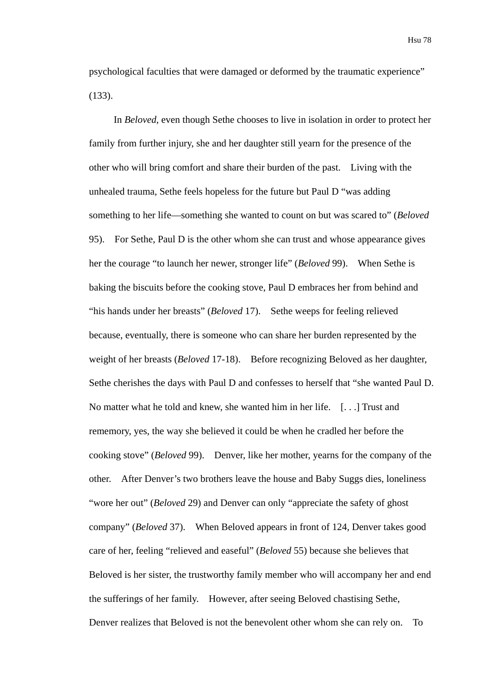psychological faculties that were damaged or deformed by the traumatic experience" (133).

In *Beloved*, even though Sethe chooses to live in isolation in order to protect her family from further injury, she and her daughter still yearn for the presence of the other who will bring comfort and share their burden of the past. Living with the unhealed trauma, Sethe feels hopeless for the future but Paul D "was adding something to her life—something she wanted to count on but was scared to" (*Beloved* 95). For Sethe, Paul D is the other whom she can trust and whose appearance gives her the courage "to launch her newer, stronger life" (*Beloved* 99). When Sethe is baking the biscuits before the cooking stove, Paul D embraces her from behind and "his hands under her breasts" (*Beloved* 17). Sethe weeps for feeling relieved because, eventually, there is someone who can share her burden represented by the weight of her breasts (*Beloved* 17-18). Before recognizing Beloved as her daughter, Sethe cherishes the days with Paul D and confesses to herself that "she wanted Paul D. No matter what he told and knew, she wanted him in her life. [. . .] Trust and rememory, yes, the way she believed it could be when he cradled her before the cooking stove" (*Beloved* 99). Denver, like her mother, yearns for the company of the other. After Denver's two brothers leave the house and Baby Suggs dies, loneliness "wore her out" (*Beloved* 29) and Denver can only "appreciate the safety of ghost company" (*Beloved* 37). When Beloved appears in front of 124, Denver takes good care of her, feeling "relieved and easeful" (*Beloved* 55) because she believes that Beloved is her sister, the trustworthy family member who will accompany her and end the sufferings of her family. However, after seeing Beloved chastising Sethe, Denver realizes that Beloved is not the benevolent other whom she can rely on. To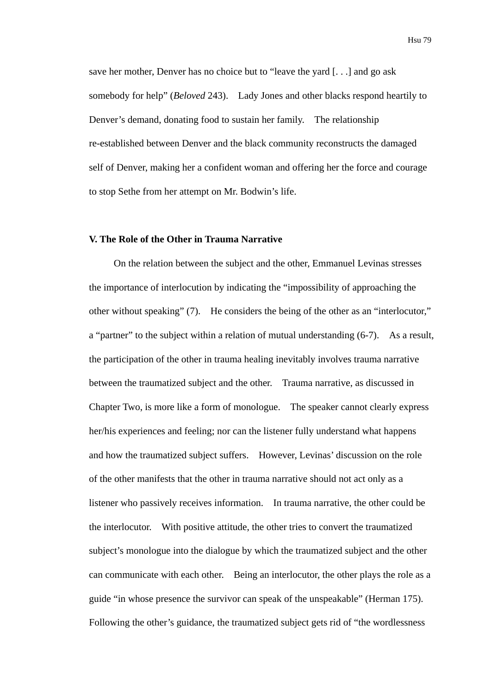save her mother, Denver has no choice but to "leave the yard [. . .] and go ask somebody for help" (*Beloved* 243). Lady Jones and other blacks respond heartily to Denver's demand, donating food to sustain her family. The relationship re-established between Denver and the black community reconstructs the damaged self of Denver, making her a confident woman and offering her the force and courage to stop Sethe from her attempt on Mr. Bodwin's life.

# **V. The Role of the Other in Trauma Narrative**

On the relation between the subject and the other, Emmanuel Levinas stresses the importance of interlocution by indicating the "impossibility of approaching the other without speaking" (7). He considers the being of the other as an "interlocutor," a "partner" to the subject within a relation of mutual understanding (6-7). As a result, the participation of the other in trauma healing inevitably involves trauma narrative between the traumatized subject and the other. Trauma narrative, as discussed in Chapter Two, is more like a form of monologue. The speaker cannot clearly express her/his experiences and feeling; nor can the listener fully understand what happens and how the traumatized subject suffers. However, Levinas' discussion on the role of the other manifests that the other in trauma narrative should not act only as a listener who passively receives information. In trauma narrative, the other could be the interlocutor. With positive attitude, the other tries to convert the traumatized subject's monologue into the dialogue by which the traumatized subject and the other can communicate with each other. Being an interlocutor, the other plays the role as a guide "in whose presence the survivor can speak of the unspeakable" (Herman 175). Following the other's guidance, the traumatized subject gets rid of "the wordlessness

Hsu 79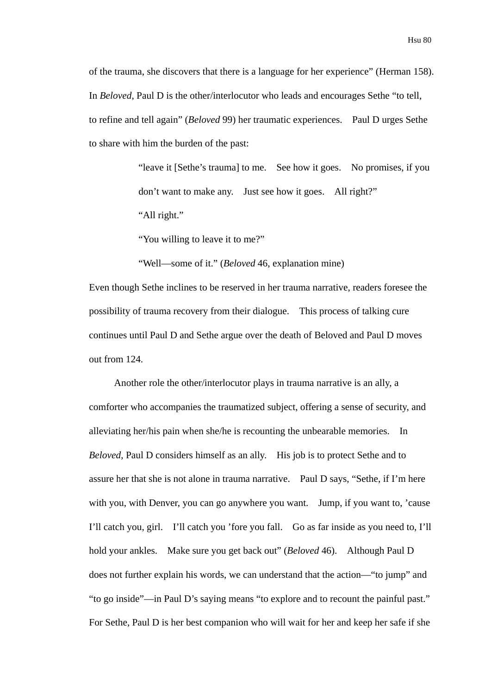of the trauma, she discovers that there is a language for her experience" (Herman 158). In *Beloved*, Paul D is the other/interlocutor who leads and encourages Sethe "to tell, to refine and tell again" (*Beloved* 99) her traumatic experiences. Paul D urges Sethe to share with him the burden of the past:

> "leave it [Sethe's trauma] to me. See how it goes. No promises, if you don't want to make any. Just see how it goes. All right?" "All right."

"You willing to leave it to me?"

"Well—some of it." (*Beloved* 46, explanation mine)

Even though Sethe inclines to be reserved in her trauma narrative, readers foresee the possibility of trauma recovery from their dialogue. This process of talking cure continues until Paul D and Sethe argue over the death of Beloved and Paul D moves out from 124.

Another role the other/interlocutor plays in trauma narrative is an ally, a comforter who accompanies the traumatized subject, offering a sense of security, and alleviating her/his pain when she/he is recounting the unbearable memories. In *Beloved*, Paul D considers himself as an ally. His job is to protect Sethe and to assure her that she is not alone in trauma narrative. Paul D says, "Sethe, if I'm here with you, with Denver, you can go anywhere you want. Jump, if you want to, 'cause I'll catch you, girl. I'll catch you 'fore you fall. Go as far inside as you need to, I'll hold your ankles. Make sure you get back out" (*Beloved* 46). Although Paul D does not further explain his words, we can understand that the action—"to jump" and "to go inside"—in Paul D's saying means "to explore and to recount the painful past." For Sethe, Paul D is her best companion who will wait for her and keep her safe if she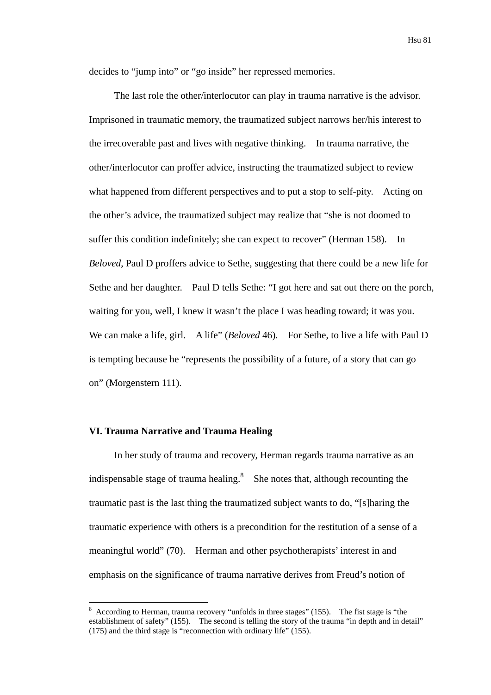decides to "jump into" or "go inside" her repressed memories.

The last role the other/interlocutor can play in trauma narrative is the advisor. Imprisoned in traumatic memory, the traumatized subject narrows her/his interest to the irrecoverable past and lives with negative thinking. In trauma narrative, the other/interlocutor can proffer advice, instructing the traumatized subject to review what happened from different perspectives and to put a stop to self-pity. Acting on the other's advice, the traumatized subject may realize that "she is not doomed to suffer this condition indefinitely; she can expect to recover" (Herman 158). In *Beloved*, Paul D proffers advice to Sethe, suggesting that there could be a new life for Sethe and her daughter. Paul D tells Sethe: "I got here and sat out there on the porch, waiting for you, well, I knew it wasn't the place I was heading toward; it was you. We can make a life, girl. A life" (*Beloved* 46). For Sethe, to live a life with Paul D is tempting because he "represents the possibility of a future, of a story that can go on" (Morgenstern 111).

#### **VI. Trauma Narrative and Trauma Healing**

1

In her study of trauma and recovery, Herman regards trauma narrative as an indispensable stage of trauma healing. $8$  She notes that, although recounting the traumatic past is the last thing the traumatized subject wants to do, "[s]haring the traumatic experience with others is a precondition for the restitution of a sense of a meaningful world" (70). Herman and other psychotherapists' interest in and emphasis on the significance of trauma narrative derives from Freud's notion of

<sup>8</sup> According to Herman, trauma recovery "unfolds in three stages" (155). The fist stage is "the establishment of safety" (155). The second is telling the story of the trauma "in depth and in detail" (175) and the third stage is "reconnection with ordinary life" (155).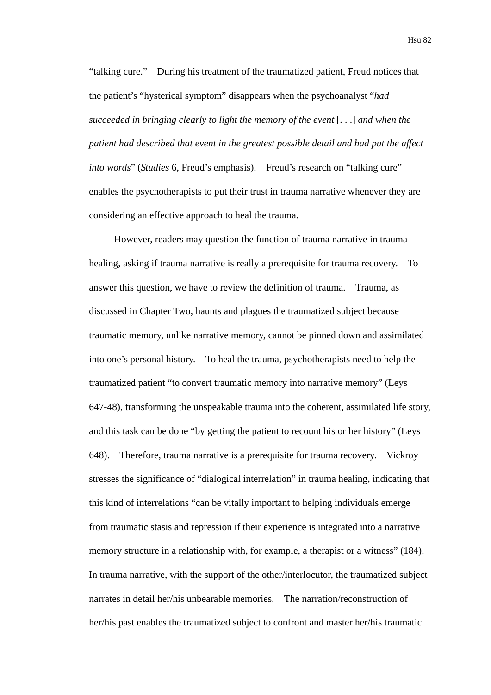"talking cure." During his treatment of the traumatized patient, Freud notices that the patient's "hysterical symptom" disappears when the psychoanalyst "*had succeeded in bringing clearly to light the memory of the event* [. . .] *and when the patient had described that event in the greatest possible detail and had put the affect into words*" (*Studies* 6, Freud's emphasis). Freud's research on "talking cure" enables the psychotherapists to put their trust in trauma narrative whenever they are considering an effective approach to heal the trauma.

However, readers may question the function of trauma narrative in trauma healing, asking if trauma narrative is really a prerequisite for trauma recovery. To answer this question, we have to review the definition of trauma. Trauma, as discussed in Chapter Two, haunts and plagues the traumatized subject because traumatic memory, unlike narrative memory, cannot be pinned down and assimilated into one's personal history. To heal the trauma, psychotherapists need to help the traumatized patient "to convert traumatic memory into narrative memory" (Leys 647-48), transforming the unspeakable trauma into the coherent, assimilated life story, and this task can be done "by getting the patient to recount his or her history" (Leys 648). Therefore, trauma narrative is a prerequisite for trauma recovery. Vickroy stresses the significance of "dialogical interrelation" in trauma healing, indicating that this kind of interrelations "can be vitally important to helping individuals emerge from traumatic stasis and repression if their experience is integrated into a narrative memory structure in a relationship with, for example, a therapist or a witness" (184). In trauma narrative, with the support of the other/interlocutor, the traumatized subject narrates in detail her/his unbearable memories. The narration/reconstruction of her/his past enables the traumatized subject to confront and master her/his traumatic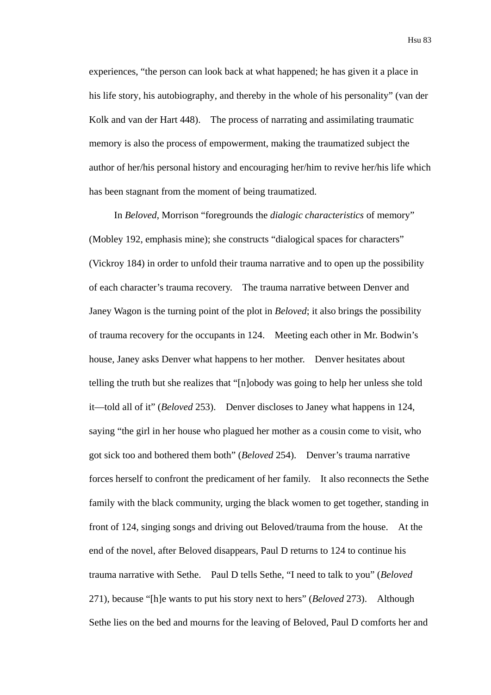experiences, "the person can look back at what happened; he has given it a place in his life story, his autobiography, and thereby in the whole of his personality" (van der Kolk and van der Hart 448). The process of narrating and assimilating traumatic memory is also the process of empowerment, making the traumatized subject the author of her/his personal history and encouraging her/him to revive her/his life which has been stagnant from the moment of being traumatized.

In *Beloved*, Morrison "foregrounds the *dialogic characteristics* of memory" (Mobley 192, emphasis mine); she constructs "dialogical spaces for characters" (Vickroy 184) in order to unfold their trauma narrative and to open up the possibility of each character's trauma recovery. The trauma narrative between Denver and Janey Wagon is the turning point of the plot in *Beloved*; it also brings the possibility of trauma recovery for the occupants in 124. Meeting each other in Mr. Bodwin's house, Janey asks Denver what happens to her mother. Denver hesitates about telling the truth but she realizes that "[n]obody was going to help her unless she told it—told all of it" (*Beloved* 253). Denver discloses to Janey what happens in 124, saying "the girl in her house who plagued her mother as a cousin come to visit, who got sick too and bothered them both" (*Beloved* 254). Denver's trauma narrative forces herself to confront the predicament of her family. It also reconnects the Sethe family with the black community, urging the black women to get together, standing in front of 124, singing songs and driving out Beloved/trauma from the house. At the end of the novel, after Beloved disappears, Paul D returns to 124 to continue his trauma narrative with Sethe. Paul D tells Sethe, "I need to talk to you" (*Beloved* 271), because "[h]e wants to put his story next to hers" (*Beloved* 273). Although Sethe lies on the bed and mourns for the leaving of Beloved, Paul D comforts her and